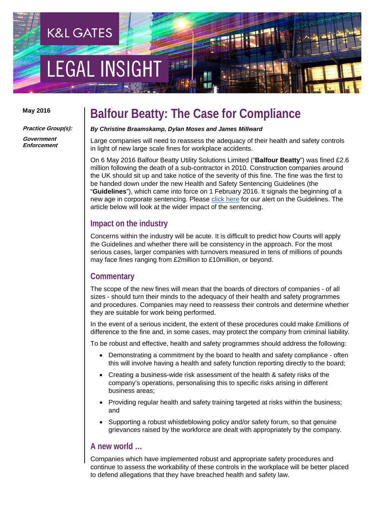# **EGAL INSIGH**

**K&L GATES** 

#### **May 2016**

**Practice Group(s):**

**Government Enforcement**

### **Balfour Beatty: The Case for Compliance**

#### *By Christine Braamskamp, Dylan Moses and James Millward*

Large companies will need to reassess the adequacy of their health and safety controls in light of new large scale fines for workplace accidents.

On 6 May 2016 Balfour Beatty Utility Solutions Limited ("**Balfour Beatty**") was fined £2.6 million following the death of a sub-contractor in 2010. Construction companies around the UK should sit up and take notice of the severity of this fine. The fine was the first to be handed down under the new Health and Safety Sentencing Guidelines (the "**Guidelines**"), which came into force on 1 February 2016. It signals the beginning of a new age in corporate sentencing. Please [click here](http://www.klgates.com/companies-beware-new-sentencing-guidelines-for-health--safety-and-food-hygiene-offences-02-02-2016/) for our alert on the Guidelines. The article below will look at the wider impact of the sentencing.

#### **Impact on the industry**

Concerns within the industry will be acute. It is difficult to predict how Courts will apply the Guidelines and whether there will be consistency in the approach. For the most serious cases, larger companies with turnovers measured in tens of millions of pounds may face fines ranging from £2million to £10million, or beyond.

#### **Commentary**

The scope of the new fines will mean that the boards of directors of companies - of all sizes - should turn their minds to the adequacy of their health and safety programmes and procedures. Companies may need to reassess their controls and determine whether they are suitable for work being performed.

In the event of a serious incident, the extent of these procedures could make £millions of difference to the fine and, in some cases, may protect the company from criminal liability.

To be robust and effective, health and safety programmes should address the following:

- Demonstrating a commitment by the board to health and safety compliance often this will involve having a health and safety function reporting directly to the board;
- Creating a business-wide risk assessment of the health & safety risks of the company's operations, personalising this to specific risks arising in different business areas;
- Providing regular health and safety training targeted at risks within the business; and
- Supporting a robust whistleblowing policy and/or safety forum, so that genuine grievances raised by the workforce are dealt with appropriately by the company.

#### **A new world …**

Companies which have implemented robust and appropriate safety procedures and continue to assess the workability of these controls in the workplace will be better placed to defend allegations that they have breached health and safety law.